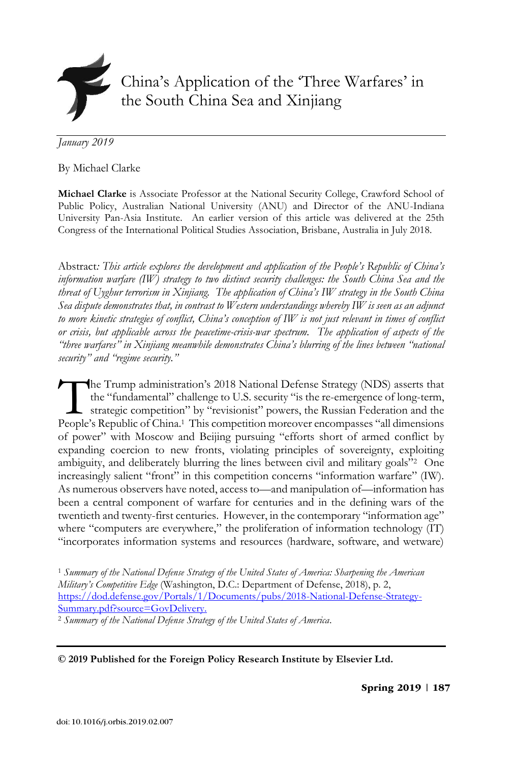

China's Application of the 'Three Warfares' in the South China Sea and Xinjiang

## *January 2019*

By Michael Clarke

**Michael Clarke** is Associate Professor at the National Security College, Crawford School of Public Policy, Australian National University (ANU) and Director of the ANU-Indiana University Pan-Asia Institute. An earlier version of this article was delivered at the 25th Congress of the International Political Studies Association, Brisbane, Australia in July 2018.

Abstract*: This article explores the development and application of the People's Republic of China's information warfare (IW) strategy to two distinct security challenges: the South China Sea and the threat of Uyghur terrorism in Xinjiang. The application of China's IW strategy in the South China Sea dispute demonstrates that, in contrast to Western understandings whereby IW is seen as an adjunct to more kinetic strategies of conflict, China's conception of IW is not just relevant in times of conflict or crisis, but applicable across the peacetime-crisis-war spectrum. The application of aspects of the "three warfares" in Xinjiang meanwhile demonstrates China's blurring of the lines between "national security" and "regime security."*

he Trump administration's 2018 National Defense Strategy (NDS) asserts that the "fundamental" challenge to U.S. security "is the re-emergence of long-term, strategic competition" by "revisionist" powers, the Russian Federation and the The Trump administration's 2018 National Defense Strategy (NDS) asserts that the "fundamental" challenge to U.S. security "is the re-emergence of long-term, strategic competition" by "revisionist" powers, the Russian Feder of power" with Moscow and Beijing pursuing "efforts short of armed conflict by expanding coercion to new fronts, violating principles of sovereignty, exploiting ambiguity, and deliberately blurring the lines between civil and military goals"2 One increasingly salient "front" in this competition concerns "information warfare" (IW). As numerous observers have noted, access to—and manipulation of—information has been a central component of warfare for centuries and in the defining wars of the twentieth and twenty-first centuries. However, in the contemporary "information age" where "computers are everywhere," the proliferation of information technology (IT) "incorporates information systems and resources (hardware, software, and wetware)

<sup>1</sup> *Summary of the National Defense Strategy of the United States of America: Sharpening the American Military's Competitive Edge* (Washington, D.C.: Department of Defense, 2018), p. 2, https://dod.defense.gov/Portals/1/Documents/pubs/2018-National-Defense-Strategy-Summary.pdf?source=GovDelivery.

<sup>2</sup> *Summary of the National Defense Strategy of the United States of America*.

**© 2019 Published for the Foreign Policy Research Institute by Elsevier Ltd.**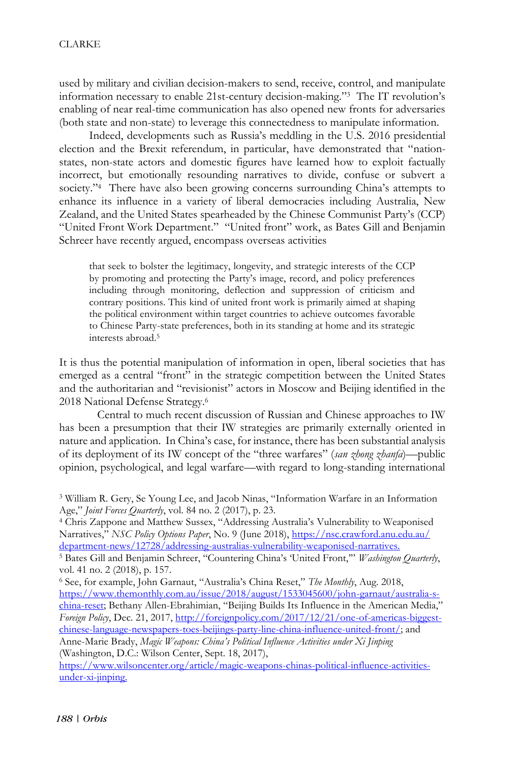used by military and civilian decision-makers to send, receive, control, and manipulate information necessary to enable 21st-century decision-making."3 The IT revolution's enabling of near real-time communication has also opened new fronts for adversaries (both state and non-state) to leverage this connectedness to manipulate information.

Indeed, developments such as Russia's meddling in the U.S. 2016 presidential election and the Brexit referendum, in particular, have demonstrated that "nationstates, non-state actors and domestic figures have learned how to exploit factually incorrect, but emotionally resounding narratives to divide, confuse or subvert a society."<sup>4</sup> There have also been growing concerns surrounding China's attempts to enhance its influence in a variety of liberal democracies including Australia, New Zealand, and the United States spearheaded by the Chinese Communist Party's (CCP) "United Front Work Department." "United front" work, as Bates Gill and Benjamin Schreer have recently argued, encompass overseas activities

that seek to bolster the legitimacy, longevity, and strategic interests of the CCP by promoting and protecting the Party's image, record, and policy preferences including through monitoring, deflection and suppression of criticism and contrary positions. This kind of united front work is primarily aimed at shaping the political environment within target countries to achieve outcomes favorable to Chinese Party-state preferences, both in its standing at home and its strategic interests abroad.5

It is thus the potential manipulation of information in open, liberal societies that has emerged as a central "front" in the strategic competition between the United States and the authoritarian and "revisionist" actors in Moscow and Beijing identified in the 2018 National Defense Strategy.6

Central to much recent discussion of Russian and Chinese approaches to IW has been a presumption that their IW strategies are primarily externally oriented in nature and application. In China's case, for instance, there has been substantial analysis of its deployment of its IW concept of the "three warfares" (*san zhong zhanfa*)—public opinion, psychological, and legal warfare—with regard to long-standing international

Narratives," *NSC Policy Options Paper*, No. 9 (June 2018), https://nsc.crawford.anu.edu.au/

https://www.wilsoncenter.org/article/magic-weapons-chinas-political-influence-activitiesunder-xi-jinping.

<sup>3</sup> William R. Gery, Se Young Lee, and Jacob Ninas, "Information Warfare in an Information Age," *Joint Forces Quarterly*, vol. 84 no. 2 (2017), p. 23.<br><sup>4</sup> Chris Zappone and Matthew Sussex, "Addressing Australia's Vulnerability to Weaponised

department-news/12728/addressing-australias-vulnerability-weaponised-narratives. 5 Bates Gill and Benjamin Schreer, "Countering China's 'United Front,'" *Washington Quarterly*, vol. 41 no. 2 (2018), p. 157.

<sup>6</sup> See, for example, John Garnaut, "Australia's China Reset," *The Monthly*, Aug. 2018, https://www.themonthly.com.au/issue/2018/august/1533045600/john-garnaut/australia-schina-reset; Bethany Allen-Ebrahimian, "Beijing Builds Its Influence in the American Media," *Foreign Policy*, Dec. 21, 2017, http://foreignpolicy.com/2017/12/21/one-of-americas-biggestchinese-language-newspapers-toes-beijings-party-line-china-influence-united-front/; and Anne-Marie Brady, *Magic Weapons: China's Political Influence Activities under Xi Jinping* (Washington, D.C.: Wilson Center, Sept. 18, 2017),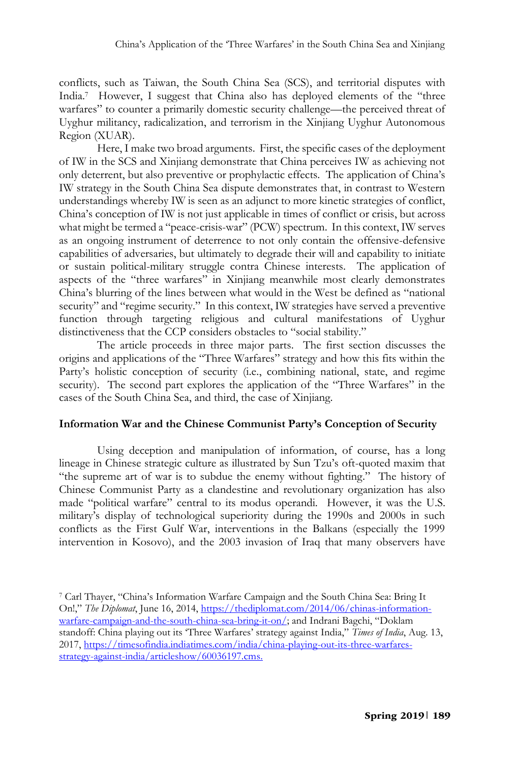conflicts, such as Taiwan, the South China Sea (SCS), and territorial disputes with India.7 However, I suggest that China also has deployed elements of the "three warfares" to counter a primarily domestic security challenge—the perceived threat of Uyghur militancy, radicalization, and terrorism in the Xinjiang Uyghur Autonomous Region (XUAR).

Here, I make two broad arguments. First, the specific cases of the deployment of IW in the SCS and Xinjiang demonstrate that China perceives IW as achieving not only deterrent, but also preventive or prophylactic effects. The application of China's IW strategy in the South China Sea dispute demonstrates that, in contrast to Western understandings whereby IW is seen as an adjunct to more kinetic strategies of conflict, China's conception of IW is not just applicable in times of conflict or crisis, but across what might be termed a "peace-crisis-war" (PCW) spectrum. In this context, IW serves as an ongoing instrument of deterrence to not only contain the offensive-defensive capabilities of adversaries, but ultimately to degrade their will and capability to initiate or sustain political-military struggle contra Chinese interests. The application of aspects of the "three warfares" in Xinjiang meanwhile most clearly demonstrates China's blurring of the lines between what would in the West be defined as "national security" and "regime security." In this context, IW strategies have served a preventive function through targeting religious and cultural manifestations of Uyghur distinctiveness that the CCP considers obstacles to "social stability."

The article proceeds in three major parts. The first section discusses the origins and applications of the "Three Warfares" strategy and how this fits within the Party's holistic conception of security (i.e., combining national, state, and regime security). The second part explores the application of the "Three Warfares" in the cases of the South China Sea, and third, the case of Xinjiang.

## **Information War and the Chinese Communist Party's Conception of Security**

Using deception and manipulation of information, of course, has a long lineage in Chinese strategic culture as illustrated by Sun Tzu's oft-quoted maxim that "the supreme art of war is to subdue the enemy without fighting." The history of Chinese Communist Party as a clandestine and revolutionary organization has also made "political warfare" central to its modus operandi. However, it was the U.S. military's display of technological superiority during the 1990s and 2000s in such conflicts as the First Gulf War, interventions in the Balkans (especially the 1999 intervention in Kosovo), and the 2003 invasion of Iraq that many observers have

<sup>7</sup> Carl Thayer, "China's Information Warfare Campaign and the South China Sea: Bring It On!," *The Diplomat*, June 16, 2014, https://thediplomat.com/2014/06/chinas-informationwarfare-campaign-and-the-south-china-sea-bring-it-on/; and Indrani Bagchi, "Doklam standoff: China playing out its 'Three Warfares' strategy against India," *Times of India*, Aug. 13, 2017, https://timesofindia.indiatimes.com/india/china-playing-out-its-three-warfaresstrategy-against-india/articleshow/60036197.cms.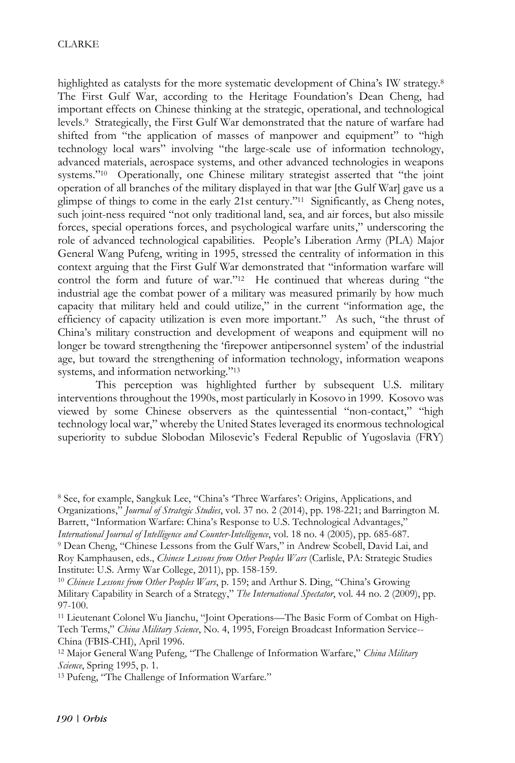highlighted as catalysts for the more systematic development of China's IW strategy.8 The First Gulf War, according to the Heritage Foundation's Dean Cheng, had important effects on Chinese thinking at the strategic, operational, and technological levels.9 Strategically, the First Gulf War demonstrated that the nature of warfare had shifted from "the application of masses of manpower and equipment" to "high technology local wars" involving "the large-scale use of information technology, advanced materials, aerospace systems, and other advanced technologies in weapons systems."<sup>10</sup> Operationally, one Chinese military strategist asserted that "the joint operation of all branches of the military displayed in that war [the Gulf War] gave us a glimpse of things to come in the early 21st century."11 Significantly, as Cheng notes, such joint-ness required "not only traditional land, sea, and air forces, but also missile forces, special operations forces, and psychological warfare units," underscoring the role of advanced technological capabilities. People's Liberation Army (PLA) Major General Wang Pufeng, writing in 1995, stressed the centrality of information in this context arguing that the First Gulf War demonstrated that "information warfare will control the form and future of war."12 He continued that whereas during "the industrial age the combat power of a military was measured primarily by how much capacity that military held and could utilize," in the current "information age, the efficiency of capacity utilization is even more important." As such, "the thrust of China's military construction and development of weapons and equipment will no longer be toward strengthening the 'firepower antipersonnel system' of the industrial age, but toward the strengthening of information technology, information weapons systems, and information networking."13

This perception was highlighted further by subsequent U.S. military interventions throughout the 1990s, most particularly in Kosovo in 1999. Kosovo was viewed by some Chinese observers as the quintessential "non-contact," "high technology local war," whereby the United States leveraged its enormous technological superiority to subdue Slobodan Milosevic's Federal Republic of Yugoslavia (FRY)

<sup>8</sup> See, for example, Sangkuk Lee, "China's 'Three Warfares': Origins, Applications, and Organizations," *Journal of Strategic Studies*, vol. 37 no. 2 (2014), pp. 198-221; and Barrington M. Barrett, "Information Warfare: China's Response to U.S. Technological Advantages,"

*International Journal of Intelligence and Counter-Intelligence*, vol. 18 no. 4 (2005), pp. 685-687.<br><sup>9</sup> Dean Cheng, "Chinese Lessons from the Gulf Wars," in Andrew Scobell, David Lai, and Roy Kamphausen, eds., *Chinese Lessons from Other Peoples Wars* (Carlisle, PA: Strategic Studies Institute: U.S. Army War College, 2011), pp. 158-159.

<sup>10</sup> *Chinese Lessons from Other Peoples Wars*, p. 159; and Arthur S. Ding, "China's Growing Military Capability in Search of a Strategy," *The International Spectator*, vol. 44 no. 2 (2009), pp. 97-100.

<sup>11</sup> Lieutenant Colonel Wu Jianchu, "Joint Operations—The Basic Form of Combat on High-Tech Terms," *China Military Science*, No. 4, 1995, Foreign Broadcast Information Service-- China (FBIS-CHI), April 1996.

<sup>12</sup> Major General Wang Pufeng, "The Challenge of Information Warfare," *China Military Science*, Spring 1995, p. 1.<br><sup>13</sup> Pufeng, "The Challenge of Information Warfare."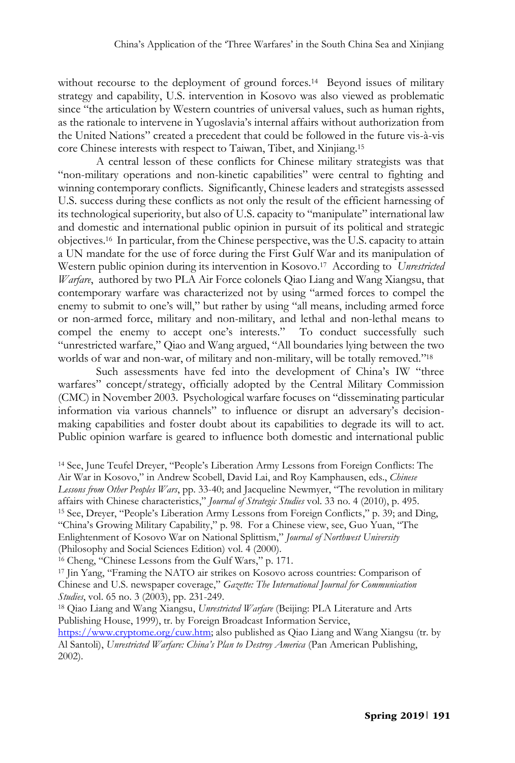without recourse to the deployment of ground forces.<sup>14</sup> Beyond issues of military strategy and capability, U.S. intervention in Kosovo was also viewed as problematic since "the articulation by Western countries of universal values, such as human rights, as the rationale to intervene in Yugoslavia's internal affairs without authorization from the United Nations" created a precedent that could be followed in the future vis-à-vis core Chinese interests with respect to Taiwan, Tibet, and Xinjiang.15

A central lesson of these conflicts for Chinese military strategists was that "non-military operations and non-kinetic capabilities" were central to fighting and winning contemporary conflicts. Significantly, Chinese leaders and strategists assessed U.S. success during these conflicts as not only the result of the efficient harnessing of its technological superiority, but also of U.S. capacity to "manipulate" international law and domestic and international public opinion in pursuit of its political and strategic objectives.16 In particular, from the Chinese perspective, was the U.S. capacity to attain a UN mandate for the use of force during the First Gulf War and its manipulation of Western public opinion during its intervention in Kosovo.<sup>17</sup> According to *Unrestricted Warfare*, authored by two PLA Air Force colonels Qiao Liang and Wang Xiangsu, that contemporary warfare was characterized not by using "armed forces to compel the enemy to submit to one's will," but rather by using "all means, including armed force or non-armed force, military and non-military, and lethal and non-lethal means to compel the enemy to accept one's interests." To conduct successfully such "unrestricted warfare," Qiao and Wang argued, "All boundaries lying between the two worlds of war and non-war, of military and non-military, will be totally removed."18

Such assessments have fed into the development of China's IW "three warfares" concept/strategy, officially adopted by the Central Military Commission (CMC) in November 2003. Psychological warfare focuses on "disseminating particular information via various channels" to influence or disrupt an adversary's decisionmaking capabilities and foster doubt about its capabilities to degrade its will to act. Public opinion warfare is geared to influence both domestic and international public

14 See, June Teufel Dreyer, "People's Liberation Army Lessons from Foreign Conflicts: The Air War in Kosovo," in Andrew Scobell, David Lai, and Roy Kamphausen, eds., *Chinese Lessons from Other Peoples Wars*, pp. 33-40; and Jacqueline Newmyer, "The revolution in military affairs with Chinese characteristics," *Journal of Strategic Studies* vol. 33 no. 4 (2010), p. 495. 15 See, Dreyer, "People's Liberation Army Lessons from Foreign Conflicts," p. 39; and Ding, "China's Growing Military Capability," p. 98. For a Chinese view, see, Guo Yuan, "The Enlightenment of Kosovo War on National Splittism," *Journal of Northwest University*

(Philosophy and Social Sciences Edition) vol. 4 (2000). 16 Cheng, "Chinese Lessons from the Gulf Wars," p. 171.

17 Jin Yang, "Framing the NATO air strikes on Kosovo across countries: Comparison of Chinese and U.S. newspaper coverage," *Gazette: The International Journal for Communication* 

*Studies*, vol. 65 no. 3 (2003), pp. 231-249.<br><sup>18</sup> Qiao Liang and Wang Xiangsu, *Unrestricted Warfare* (Beijing: PLA Literature and Arts Publishing House, 1999), tr. by Foreign Broadcast Information Service,

https://www.cryptome.org/cuw.htm; also published as Qiao Liang and Wang Xiangsu (tr. by Al Santoli), *Unrestricted Warfare: China's Plan to Destroy America* (Pan American Publishing, 2002).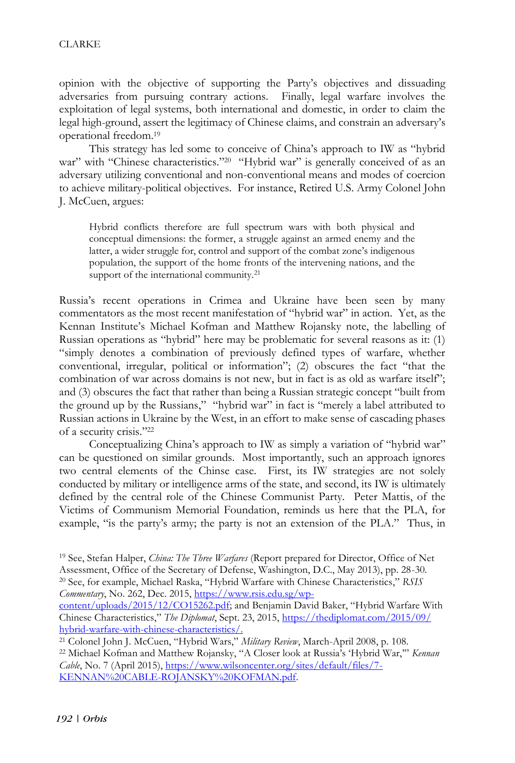opinion with the objective of supporting the Party's objectives and dissuading adversaries from pursuing contrary actions. Finally, legal warfare involves the exploitation of legal systems, both international and domestic, in order to claim the legal high-ground, assert the legitimacy of Chinese claims, and constrain an adversary's operational freedom.19

This strategy has led some to conceive of China's approach to IW as "hybrid war" with "Chinese characteristics."<sup>20</sup> "Hybrid war" is generally conceived of as an adversary utilizing conventional and non-conventional means and modes of coercion to achieve military-political objectives. For instance, Retired U.S. Army Colonel John J. McCuen, argues:

Hybrid conflicts therefore are full spectrum wars with both physical and conceptual dimensions: the former, a struggle against an armed enemy and the latter, a wider struggle for, control and support of the combat zone's indigenous population, the support of the home fronts of the intervening nations, and the support of the international community.<sup>21</sup>

Russia's recent operations in Crimea and Ukraine have been seen by many commentators as the most recent manifestation of "hybrid war" in action. Yet, as the Kennan Institute's Michael Kofman and Matthew Rojansky note, the labelling of Russian operations as "hybrid" here may be problematic for several reasons as it: (1) "simply denotes a combination of previously defined types of warfare, whether conventional, irregular, political or information"; (2) obscures the fact "that the combination of war across domains is not new, but in fact is as old as warfare itself"; and (3) obscures the fact that rather than being a Russian strategic concept "built from the ground up by the Russians," "hybrid war" in fact is "merely a label attributed to Russian actions in Ukraine by the West, in an effort to make sense of cascading phases of a security crisis."22

Conceptualizing China's approach to IW as simply a variation of "hybrid war" can be questioned on similar grounds. Most importantly, such an approach ignores two central elements of the Chinse case. First, its IW strategies are not solely conducted by military or intelligence arms of the state, and second, its IW is ultimately defined by the central role of the Chinese Communist Party. Peter Mattis, of the Victims of Communism Memorial Foundation, reminds us here that the PLA, for example, "is the party's army; the party is not an extension of the PLA." Thus, in

<sup>19</sup> See, Stefan Halper, *China: The Three Warfares* (Report prepared for Director, Office of Net Assessment, Office of the Secretary of Defense, Washington, D.C., May 2013), pp. 28-30. 20 See, for example, Michael Raska, "Hybrid Warfare with Chinese Characteristics," *RSIS Commentary*, No. 262, Dec. 2015, https://www.rsis.edu.sg/wp-

content/uploads/2015/12/CO15262.pdf; and Benjamin David Baker, "Hybrid Warfare With Chinese Characteristics," *The Diplomat*, Sept. 23, 2015, https://thediplomat.com/2015/09/

hybrid-warfare-with-chinese-characteristics/.<br><sup>21</sup> Colonel John J. McCuen, "Hybrid Wars," *Military Review*, March-April 2008, p. 108.<br><sup>22</sup> Michael Kofman and Matthew Rojansky, "A Closer look at Russia's 'Hybrid War,"' *Ke Cable*, No. 7 (April 2015), https://www.wilsoncenter.org/sites/default/files/7- KENNAN%20CABLE-ROJANSKY%20KOFMAN.pdf.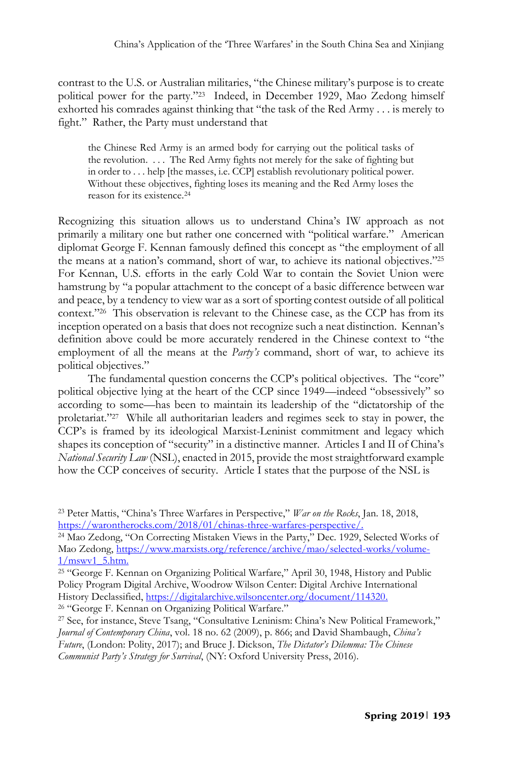contrast to the U.S. or Australian militaries, "the Chinese military's purpose is to create political power for the party."23 Indeed, in December 1929, Mao Zedong himself exhorted his comrades against thinking that "the task of the Red Army . . . is merely to fight." Rather, the Party must understand that

the Chinese Red Army is an armed body for carrying out the political tasks of the revolution. . . . The Red Army fights not merely for the sake of fighting but in order to . . . help [the masses, i.e. CCP] establish revolutionary political power. Without these objectives, fighting loses its meaning and the Red Army loses the reason for its existence.24

Recognizing this situation allows us to understand China's IW approach as not primarily a military one but rather one concerned with "political warfare." American diplomat George F. Kennan famously defined this concept as "the employment of all the means at a nation's command, short of war, to achieve its national objectives."25 For Kennan, U.S. efforts in the early Cold War to contain the Soviet Union were hamstrung by "a popular attachment to the concept of a basic difference between war and peace, by a tendency to view war as a sort of sporting contest outside of all political context."26 This observation is relevant to the Chinese case, as the CCP has from its inception operated on a basis that does not recognize such a neat distinction. Kennan's definition above could be more accurately rendered in the Chinese context to "the employment of all the means at the *Party's* command, short of war, to achieve its political objectives."

The fundamental question concerns the CCP's political objectives. The "core" political objective lying at the heart of the CCP since 1949—indeed "obsessively" so according to some—has been to maintain its leadership of the "dictatorship of the proletariat."27 While all authoritarian leaders and regimes seek to stay in power, the CCP's is framed by its ideological Marxist-Leninist commitment and legacy which shapes its conception of "security" in a distinctive manner. Articles I and II of China's *National Security Law* (NSL), enacted in 2015, provide the most straightforward example how the CCP conceives of security. Article I states that the purpose of the NSL is

24 Mao Zedong, "On Correcting Mistaken Views in the Party," Dec. 1929, Selected Works of Mao Zedong, https://www.marxists.org/reference/archive/mao/selected-works/volume-

<sup>26</sup> "George F. Kennan on Organizing Political Warfare."<br><sup>27</sup> See, for instance, Steve Tsang, "Consultative Leninism: China's New Political Framework," *Journal of Contemporary China*, vol. 18 no. 62 (2009), p. 866; and David Shambaugh, *China's Future*, (London: Polity, 2017); and Bruce J. Dickson, *The Dictator's Dilemma: The Chinese Communist Party's Strategy for Survival*, (NY: Oxford University Press, 2016).

<sup>23</sup> Peter Mattis, "China's Three Warfares in Perspective," *War on the Rocks*, Jan. 18, 2018, https://warontherocks.com/2018/01/chinas-three-warfares-perspective/.

<sup>1/</sup>mswv1\_5.htm.<br><sup>25</sup> "George F. Kennan on Organizing Political Warfare," April 30, 1948, History and Public Policy Program Digital Archive, Woodrow Wilson Center: Digital Archive International History Declassified, https://digitalarchive.wilsoncenter.org/document/114320.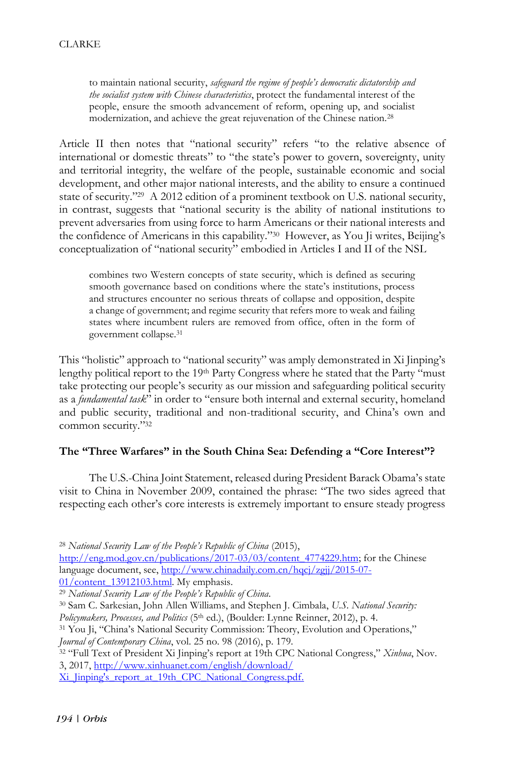to maintain national security, *safeguard the regime of people's democratic dictatorship and the socialist system with Chinese characteristics*, protect the fundamental interest of the people, ensure the smooth advancement of reform, opening up, and socialist modernization, and achieve the great rejuvenation of the Chinese nation.28

Article II then notes that "national security" refers "to the relative absence of international or domestic threats" to "the state's power to govern, sovereignty, unity and territorial integrity, the welfare of the people, sustainable economic and social development, and other major national interests, and the ability to ensure a continued state of security."29 A 2012 edition of a prominent textbook on U.S. national security, in contrast, suggests that "national security is the ability of national institutions to prevent adversaries from using force to harm Americans or their national interests and the confidence of Americans in this capability."30 However, as You Ji writes, Beijing's conceptualization of "national security" embodied in Articles I and II of the NSL

combines two Western concepts of state security, which is defined as securing smooth governance based on conditions where the state's institutions, process and structures encounter no serious threats of collapse and opposition, despite a change of government; and regime security that refers more to weak and failing states where incumbent rulers are removed from office, often in the form of government collapse.31

This "holistic" approach to "national security" was amply demonstrated in Xi Jinping's lengthy political report to the 19th Party Congress where he stated that the Party "must take protecting our people's security as our mission and safeguarding political security as a *fundamental task*" in order to "ensure both internal and external security, homeland and public security, traditional and non-traditional security, and China's own and common security."32

## **The "Three Warfares" in the South China Sea: Defending a "Core Interest"?**

The U.S.-China Joint Statement, released during President Barack Obama's state visit to China in November 2009, contained the phrase: "The two sides agreed that respecting each other's core interests is extremely important to ensure steady progress

<sup>28</sup> *National Security Law of the People's Republic of China* (2015),

http://eng.mod.gov.cn/publications/2017-03/03/content\_4774229.htm; for the Chinese language document, see, http://www.chinadaily.com.cn/hqcj/zgjj/2015-07-01/content 13912103.html. My emphasis.

<sup>29</sup> National Security Law of the People's Republic of China.

30 Sam C. Sarkesian, John Allen Williams, and Stephen J. Cimbala, *U.S. National Security:* 

*Policymakers, Processes, and Politics* (5th ed.), (Boulder: Lynne Reinner, 2012), p. 4. 31 You Ji, "China's National Security Commission: Theory, Evolution and Operations," *Journal of Contemporary China*, vol. 25 no. 98 (2016), p. 179. 32 "Full Text of President Xi Jinping's report at 19th CPC National Congress," *Xinhua*, Nov.

3, 2017, http://www.xinhuanet.com/english/download/

Xi\_Jinping's\_report\_at\_19th\_CPC\_National\_Congress.pdf.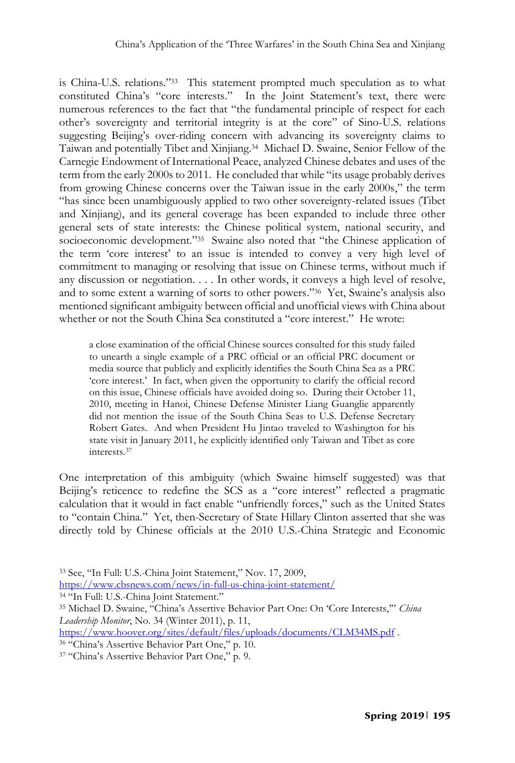is China-U.S. relations."33 This statement prompted much speculation as to what constituted China's "core interests." In the Joint Statement's text, there were numerous references to the fact that "the fundamental principle of respect for each other's sovereignty and territorial integrity is at the core" of Sino-U.S. relations suggesting Beijing's over-riding concern with advancing its sovereignty claims to Taiwan and potentially Tibet and Xinjiang.34 Michael D. Swaine, Senior Fellow of the Carnegie Endowment of International Peace, analyzed Chinese debates and uses of the term from the early 2000s to 2011. He concluded that while "its usage probably derives from growing Chinese concerns over the Taiwan issue in the early 2000s," the term "has since been unambiguously applied to two other sovereignty-related issues (Tibet and Xinjiang), and its general coverage has been expanded to include three other general sets of state interests: the Chinese political system, national security, and socioeconomic development."<sup>35</sup> Swaine also noted that "the Chinese application of the term 'core interest' to an issue is intended to convey a very high level of commitment to managing or resolving that issue on Chinese terms, without much if any discussion or negotiation. . . . In other words, it conveys a high level of resolve, and to some extent a warning of sorts to other powers."36 Yet, Swaine's analysis also mentioned significant ambiguity between official and unofficial views with China about whether or not the South China Sea constituted a "core interest." He wrote:

a close examination of the official Chinese sources consulted for this study failed to unearth a single example of a PRC official or an official PRC document or media source that publicly and explicitly identifies the South China Sea as a PRC 'core interest.' In fact, when given the opportunity to clarify the official record on this issue, Chinese officials have avoided doing so. During their October 11, 2010, meeting in Hanoi, Chinese Defense Minister Liang Guanglie apparently did not mention the issue of the South China Seas to U.S. Defense Secretary Robert Gates. And when President Hu Jintao traveled to Washington for his state visit in January 2011, he explicitly identified only Taiwan and Tibet as core interests.37

One interpretation of this ambiguity (which Swaine himself suggested) was that Beijing's reticence to redefine the SCS as a "core interest" reflected a pragmatic calculation that it would in fact enable "unfriendly forces," such as the United States to "contain China." Yet, then-Secretary of State Hillary Clinton asserted that she was directly told by Chinese officials at the 2010 U.S.-China Strategic and Economic

https://www.cbsnews.com/news/in-full-us-china-joint-statement/<br><sup>34</sup> "In Full: U.S.-China Joint Statement."

https://www.hoover.org/sites/default/files/uploads/documents/CLM34MS.pdf . 36 "China's Assertive Behavior Part One," p. 10.

<sup>33</sup> See, "In Full: U.S.-China Joint Statement," Nov. 17, 2009,

<sup>35</sup> Michael D. Swaine, "China's Assertive Behavior Part One: On 'Core Interests,'" *China Leadership Monitor*, No. 34 (Winter 2011), p. 11,

<sup>37 &</sup>quot;China's Assertive Behavior Part One," p. 9.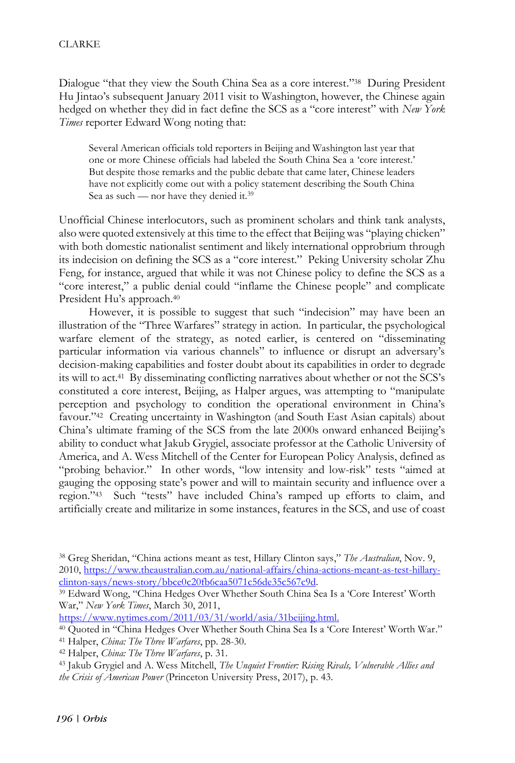Dialogue "that they view the South China Sea as a core interest."38 During President Hu Jintao's subsequent January 2011 visit to Washington, however, the Chinese again hedged on whether they did in fact define the SCS as a "core interest" with *New York Times* reporter Edward Wong noting that:

Several American officials told reporters in Beijing and Washington last year that one or more Chinese officials had labeled the South China Sea a 'core interest.' But despite those remarks and the public debate that came later, Chinese leaders have not explicitly come out with a policy statement describing the South China Sea as such — nor have they denied it.<sup>39</sup>

Unofficial Chinese interlocutors, such as prominent scholars and think tank analysts, also were quoted extensively at this time to the effect that Beijing was "playing chicken" with both domestic nationalist sentiment and likely international opprobrium through its indecision on defining the SCS as a "core interest." Peking University scholar Zhu Feng, for instance, argued that while it was not Chinese policy to define the SCS as a "core interest," a public denial could "inflame the Chinese people" and complicate President Hu's approach.40

However, it is possible to suggest that such "indecision" may have been an illustration of the "Three Warfares" strategy in action. In particular, the psychological warfare element of the strategy, as noted earlier, is centered on "disseminating particular information via various channels" to influence or disrupt an adversary's decision-making capabilities and foster doubt about its capabilities in order to degrade its will to act.41 By disseminating conflicting narratives about whether or not the SCS's constituted a core interest, Beijing, as Halper argues, was attempting to "manipulate perception and psychology to condition the operational environment in China's favour."42 Creating uncertainty in Washington (and South East Asian capitals) about China's ultimate framing of the SCS from the late 2000s onward enhanced Beijing's ability to conduct what Jakub Grygiel, associate professor at the Catholic University of America, and A. Wess Mitchell of the Center for European Policy Analysis, defined as "probing behavior." In other words, "low intensity and low-risk" tests "aimed at gauging the opposing state's power and will to maintain security and influence over a region."43 Such "tests" have included China's ramped up efforts to claim, and artificially create and militarize in some instances, features in the SCS, and use of coast

https://www.nytimes.com/2011/03/31/world/asia/31beijing.html.

<sup>40</sup> Quoted in "China Hedges Over Whether South China Sea Is a 'Core Interest' Worth War."<br><sup>41</sup> Halper, *China: The Three Warfares*, pp. 28-30.<br><sup>42</sup> Halper, *China: The Three Warfares*, p. 31.<br><sup>43</sup> Jakub Grygiel and A. Wes

<sup>38</sup> Greg Sheridan, "China actions meant as test, Hillary Clinton says," *The Australian*, Nov. 9, 2010, https://www.theaustralian.com.au/national-affairs/china-actions-meant-as-test-hillary-<br>clinton-says/news-story/bbce0c20fb6caa5071c56de35c567c9d.

<sup>&</sup>lt;sup>39</sup> Edward Wong, "China Hedges Over Whether South China Sea Is a 'Core Interest' Worth War," *New York Times*, March 30, 2011,

*the Crisis of American Power* (Princeton University Press, 2017), p. 43.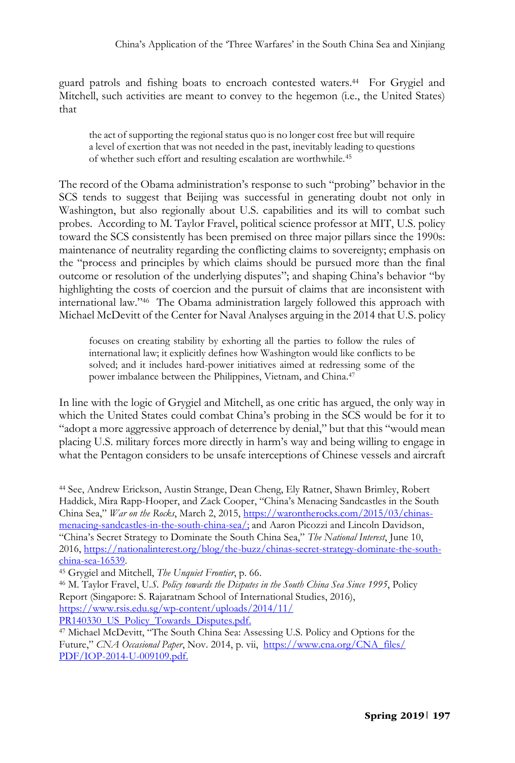guard patrols and fishing boats to encroach contested waters.44 For Grygiel and Mitchell, such activities are meant to convey to the hegemon (i.e., the United States) that

the act of supporting the regional status quo is no longer cost free but will require a level of exertion that was not needed in the past, inevitably leading to questions of whether such effort and resulting escalation are worthwhile.45

The record of the Obama administration's response to such "probing" behavior in the SCS tends to suggest that Beijing was successful in generating doubt not only in Washington, but also regionally about U.S. capabilities and its will to combat such probes. According to M. Taylor Fravel, political science professor at MIT, U.S. policy toward the SCS consistently has been premised on three major pillars since the 1990s: maintenance of neutrality regarding the conflicting claims to sovereignty; emphasis on the "process and principles by which claims should be pursued more than the final outcome or resolution of the underlying disputes"; and shaping China's behavior "by highlighting the costs of coercion and the pursuit of claims that are inconsistent with international law."46 The Obama administration largely followed this approach with Michael McDevitt of the Center for Naval Analyses arguing in the 2014 that U.S. policy

focuses on creating stability by exhorting all the parties to follow the rules of international law; it explicitly defines how Washington would like conflicts to be solved; and it includes hard-power initiatives aimed at redressing some of the power imbalance between the Philippines, Vietnam, and China.<sup>47</sup>

In line with the logic of Grygiel and Mitchell, as one critic has argued, the only way in which the United States could combat China's probing in the SCS would be for it to "adopt a more aggressive approach of deterrence by denial," but that this "would mean placing U.S. military forces more directly in harm's way and being willing to engage in what the Pentagon considers to be unsafe interceptions of Chinese vessels and aircraft

44 See, Andrew Erickson, Austin Strange, Dean Cheng, Ely Ratner, Shawn Brimley, Robert Haddick, Mira Rapp-Hooper, and Zack Cooper, "China's Menacing Sandcastles in the South China Sea," *War on the Rocks*, March 2, 2015, https://warontherocks.com/2015/03/chinasmenacing-sandcastles-in-the-south-china-sea/; and Aaron Picozzi and Lincoln Davidson, "China's Secret Strategy to Dominate the South China Sea," *The National Interest*, June 10, 2016, https://nationalinterest.org/blog/the-buzz/chinas-secret-strategy-dominate-the-southchina-sea-16539. 45 Grygiel and Mitchell, *The Unquiet Frontier*, p. 66. 46 M. Taylor Fravel, U*.S. Policy towards the Disputes in the South China Sea Since 1995*, Policy

Report (Singapore: S. Rajaratnam School of International Studies, 2016), https://www.rsis.edu.sg/wp-content/uploads/2014/11/

PR140330\_US\_Policy\_Towards\_Disputes.pdf.

47 Michael McDevitt, "The South China Sea: Assessing U.S. Policy and Options for the Future," *CNA Occasional Paper*, Nov. 2014, p. vii, https://www.cna.org/CNA\_files/ PDF/IOP-2014-U-009109.pdf.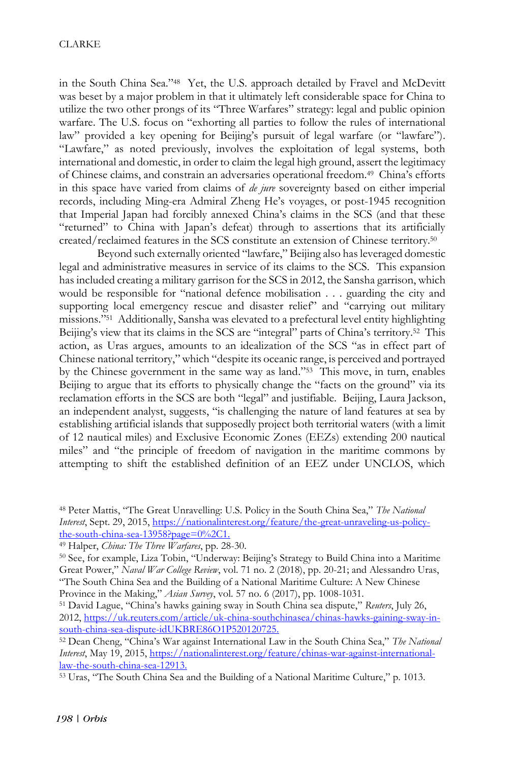in the South China Sea."48 Yet, the U.S. approach detailed by Fravel and McDevitt was beset by a major problem in that it ultimately left considerable space for China to utilize the two other prongs of its "Three Warfares" strategy: legal and public opinion warfare. The U.S. focus on "exhorting all parties to follow the rules of international law" provided a key opening for Beijing's pursuit of legal warfare (or "lawfare"). "Lawfare," as noted previously, involves the exploitation of legal systems, both international and domestic, in order to claim the legal high ground, assert the legitimacy of Chinese claims, and constrain an adversaries operational freedom.49 China's efforts in this space have varied from claims of *de jure* sovereignty based on either imperial records, including Ming-era Admiral Zheng He's voyages, or post-1945 recognition that Imperial Japan had forcibly annexed China's claims in the SCS (and that these "returned" to China with Japan's defeat) through to assertions that its artificially created/reclaimed features in the SCS constitute an extension of Chinese territory.50

Beyond such externally oriented "lawfare," Beijing also has leveraged domestic legal and administrative measures in service of its claims to the SCS. This expansion has included creating a military garrison for the SCS in 2012, the Sansha garrison, which would be responsible for "national defence mobilisation . . . guarding the city and supporting local emergency rescue and disaster relief" and "carrying out military missions."51 Additionally, Sansha was elevated to a prefectural level entity highlighting Beijing's view that its claims in the SCS are "integral" parts of China's territory.<sup>52</sup> This action, as Uras argues, amounts to an idealization of the SCS "as in effect part of Chinese national territory," which "despite its oceanic range, is perceived and portrayed by the Chinese government in the same way as land."53 This move, in turn, enables Beijing to argue that its efforts to physically change the "facts on the ground" via its reclamation efforts in the SCS are both "legal" and justifiable. Beijing, Laura Jackson, an independent analyst, suggests, "is challenging the nature of land features at sea by establishing artificial islands that supposedly project both territorial waters (with a limit of 12 nautical miles) and Exclusive Economic Zones (EEZs) extending 200 nautical miles" and "the principle of freedom of navigation in the maritime commons by attempting to shift the established definition of an EEZ under UNCLOS, which

<sup>48</sup> Peter Mattis, "The Great Unravelling: U.S. Policy in the South China Sea," *The National Interest*, Sept. 29, 2015, https://nationalinterest.org/feature/the-great-unraveling-us-policythe-south-china-sea-13958?page=0%2C1.

<sup>&</sup>lt;sup>49</sup> Halper, *China: The Three Warfares*, pp. 28-30.<br><sup>50</sup> See, for example, Liza Tobin, "Underway: Beijing's Strategy to Build China into a Maritime Great Power," *Naval War College Review*, vol. 71 no. 2 (2018), pp. 20-21; and Alessandro Uras, "The South China Sea and the Building of a National Maritime Culture: A New Chinese

Province in the Making," *Asian Survey*, vol. 57 no. 6 (2017), pp. 1008-1031. 51 David Lague, "China's hawks gaining sway in South China sea dispute," *Reuters*, July 26, 2012, https://uk.reuters.com/article/uk-china-southchinasea/chinas-hawks-gaining-sway-insouth-china-sea-dispute-idUKBRE86O1P520120725.

<sup>52</sup> Dean Cheng, "China's War against International Law in the South China Sea," *The National Interest*, May 19, 2015, https://nationalinterest.org/feature/chinas-war-against-internationallaw-the-south-china-sea-12913.<br><sup>53</sup> Uras, "The South China Sea and the Building of a National Maritime Culture," p. 1013.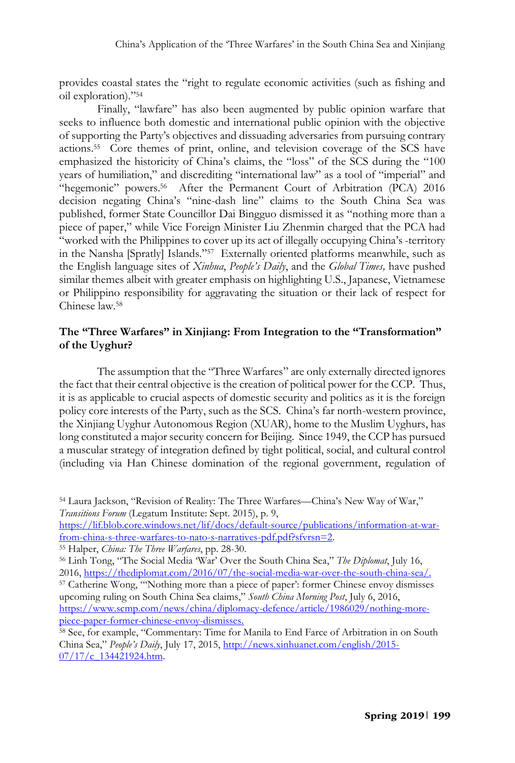provides coastal states the "right to regulate economic activities (such as fishing and oil exploration)."54

Finally, "lawfare" has also been augmented by public opinion warfare that seeks to influence both domestic and international public opinion with the objective of supporting the Party's objectives and dissuading adversaries from pursuing contrary actions.55 Core themes of print, online, and television coverage of the SCS have emphasized the historicity of China's claims, the "loss" of the SCS during the "100 years of humiliation," and discrediting "international law" as a tool of "imperial" and "hegemonic" powers.<sup>56</sup> After the Permanent Court of Arbitration (PCA) 2016 decision negating China's "nine-dash line" claims to the South China Sea was published, former State Councillor Dai Bingguo dismissed it as "nothing more than a piece of paper," while Vice Foreign Minister Liu Zhenmin charged that the PCA had "worked with the Philippines to cover up its act of illegally occupying China's -territory in the Nansha [Spratly] Islands."57 Externally oriented platforms meanwhile, such as the English language sites of *Xinhua*, *People's Daily*, and the *Global Times,* have pushed similar themes albeit with greater emphasis on highlighting U.S., Japanese, Vietnamese or Philippino responsibility for aggravating the situation or their lack of respect for Chinese law.58

# **The "Three Warfares" in Xinjiang: From Integration to the "Transformation" of the Uyghur'? r?**

The assumption that the "Three Warfares" are only externally directed ignores the fact that their central objective is the creation of political power for the CCP. Thus, it is as applicable to crucial aspects of domestic security and politics as it is the foreign policy core interests of the Party, such as the SCS. China's far north-western province, the Xinjiang Uyghur Autonomous Region (XUAR), home to the Muslim Uyghurs, has long constituted a major security concern for Beijing. Since 1949, the CCP has pursued a muscular strategy of integration defined by tight political, social, and cultural control (including via Han Chinese domination of the regional government, regulation of

https://lif.blob.core.windows.net/lif/docs/default-source/publications/information-at-warfrom-china-s-three-warfares-to-nato-s-narratives-pdf.pdf?sfvrsn=2. 55 Halper, *China: The Three Warfares*, pp. 28-30. 56 Linh Tong, "The Social Media 'War' Over the South China Sea," *The Diplomat*, July 16,

2016, https://thediplomat.com/2016/07/the-social-media-war-over-the-south-china-sea/. 57 Catherine Wong, "'Nothing more than a piece of paper': former Chinese envoy dismisses upcoming ruling on South China Sea claims," *South China Morning Post*, July 6, 2016, https://www.scmp.com/news/china/diplomacy-defence/article/1986029/nothing-morepiece-paper-former-chinese-envoy-dismisses.

58 See, for example, "Commentary: Time for Manila to End Farce of Arbitration in on South China Sea," *People's Daily*, July 17, 2015, http://news.xinhuanet.com/english/2015- 07/17/c\_134421924.htm.

<sup>54</sup> Laura Jackson, "Revision of Reality: The Three Warfares—China's New Way of War," *Transitions Forum* (Legatum Institute: Sept. 2015), p. 9,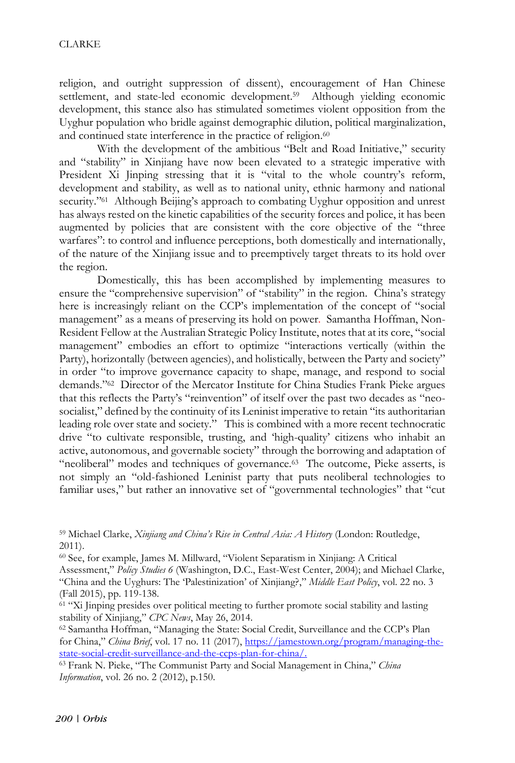religion, and outright suppression of dissent), encouragement of Han Chinese settlement, and state-led economic development.59 Although yielding economic development, this stance also has stimulated sometimes violent opposition from the Uyghur population who bridle against demographic dilution, political marginalization, and continued state interference in the practice of religion.<sup>60</sup>

With the development of the ambitious "Belt and Road Initiative," security and "stability" in Xinjiang have now been elevated to a strategic imperative with President Xi Jinping stressing that it is "vital to the whole country's reform, development and stability, as well as to national unity, ethnic harmony and national security."<sup>61</sup> Although Beijing's approach to combating Uyghur opposition and unrest has always rested on the kinetic capabilities of the security forces and police, it has been augmented by policies that are consistent with the core objective of the "three warfares": to control and influence perceptions, both domestically and internationally, of the nature of the Xinjiang issue and to preemptively target threats to its hold over the region.

Domestically, this has been accomplished by implementing measures to ensure the "comprehensive supervision" of "stability" in the region. China's strategy here is increasingly reliant on the CCP's implementation of the concept of "social management" as a means of preserving its hold on power. Samantha Hoffman, Non-Resident Fellow at the Australian Strategic Policy Institute, notes that at its core, "social management" embodies an effort to optimize "interactions vertically (within the Party), horizontally (between agencies), and holistically, between the Party and society" in order "to improve governance capacity to shape, manage, and respond to social demands."62 Director of the Mercator Institute for China Studies Frank Pieke argues that this reflects the Party's "reinvention" of itself over the past two decades as "neosocialist," defined by the continuity of its Leninist imperative to retain "its authoritarian leading role over state and society." This is combined with a more recent technocratic drive "to cultivate responsible, trusting, and 'high-quality' citizens who inhabit an active, autonomous, and governable society" through the borrowing and adaptation of "neoliberal" modes and techniques of governance.<sup>63</sup> The outcome, Pieke asserts, is not simply an "old-fashioned Leninist party that puts neoliberal technologies to familiar uses," but rather an innovative set of "governmental technologies" that "cut

for China," *China Brief*, vol. 17 no. 11 (2017), https://jamestown.org/program/managing-thestate-social-credit-surveillance-and-the-ccps-plan-for-china/.

<sup>59</sup> Michael Clarke, *Xinjiang and China's Rise in Central Asia: A History* (London: Routledge, 2011).

<sup>60</sup> See, for example, James M. Millward, "Violent Separatism in Xinjiang: A Critical

Assessment," *Policy Studies 6* (Washington, D.C., East-West Center, 2004); and Michael Clarke, "China and the Uyghurs: The 'Palestinization' of Xinjiang?," *Middle East Policy*, vol. 22 no. 3 (Fall 2015), pp. 119-138.

<sup>61 &</sup>quot;Xi Jinping presides over political meeting to further promote social stability and lasting stability of Xinjiang," *CPC News*, May 26, 2014.<br><sup>62</sup> Samantha Hoffman, "Managing the State: Social Credit, Surveillance and the CCP's Plan

<sup>63</sup> Frank N. Pieke, "The Communist Party and Social Management in China," *China Information*, vol. 26 no. 2 (2012), p.150.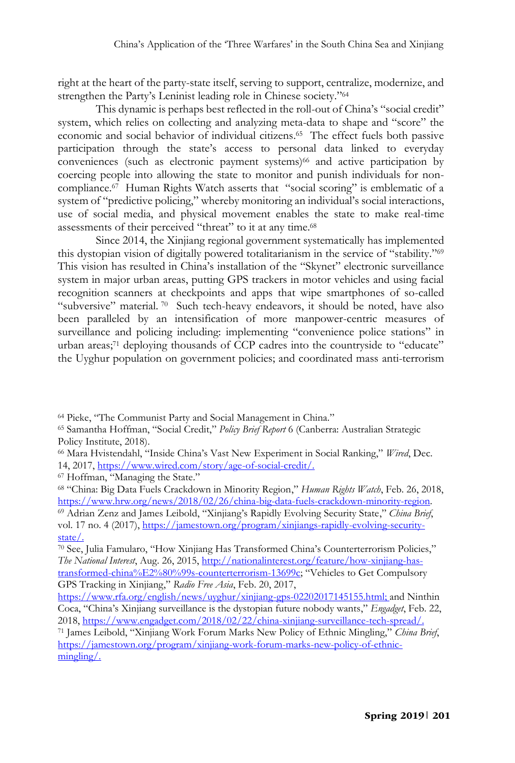right at the heart of the party-state itself, serving to support, centralize, modernize, and strengthen the Party's Leninist leading role in Chinese society."64

This dynamic is perhaps best reflected in the roll-out of China's "social credit" system, which relies on collecting and analyzing meta-data to shape and "score" the economic and social behavior of individual citizens.65 The effect fuels both passive participation through the state's access to personal data linked to everyday conveniences (such as electronic payment systems)<sup>66</sup> and active participation by coercing people into allowing the state to monitor and punish individuals for noncompliance.<sup>67</sup> Human Rights Watch asserts that "social scoring" is emblematic of a system of "predictive policing," whereby monitoring an individual's social interactions, use of social media, and physical movement enables the state to make real-time assessments of their perceived "threat" to it at any time.<sup>68</sup>

Since 2014, the Xinjiang regional government systematically has implemented this dystopian vision of digitally powered totalitarianism in the service of "stability."69 This vision has resulted in China's installation of the "Skynet" electronic surveillance system in major urban areas, putting GPS trackers in motor vehicles and using facial recognition scanners at checkpoints and apps that wipe smartphones of so-called "subversive" material. 70 Such tech-heavy endeavors, it should be noted, have also been paralleled by an intensification of more manpower-centric measures of surveillance and policing including: implementing "convenience police stations" in urban areas;<sup>71</sup> deploying thousands of CCP cadres into the countryside to "educate" the Uyghur population on government policies; and coordinated mass anti-terrorism

68 "China: Big Data Fuels Crackdown in Minority Region," *Human Rights Watch*, Feb. 26, 2018, https://www.hrw.org/news/2018/02/26/china-big-data-fuels-crackdown-minority-region. 69 Adrian Zenz and James Leibold, "Xinjiang's Rapidly Evolving Security State," *China Brief*,

vol. 17 no. 4 (2017), https://jamestown.org/program/xinjiangs-rapidly-evolving-securitystate/.

70 See, Julia Famularo, "How Xinjiang Has Transformed China's Counterterrorism Policies," *The National Interest*, Aug. 26, 2015, http://nationalinterest.org/feature/how-xinjiang-hastransformed-china%E2%80%99s-counterterrorism-13699c; "Vehicles to Get Compulsory GPS Tracking in Xinjiang," *Radio Free Asia*, Feb. 20, 2017,

71 James Leibold, "Xinjiang Work Forum Marks New Policy of Ethnic Mingling," *China Brief*, https://jamestown.org/program/xinjiang-work-forum-marks-new-policy-of-ethnicmingling/.

<sup>64</sup> Pieke, "The Communist Party and Social Management in China." 65 Samantha Hoffman, "Social Credit," *Policy Brief Report* 6 (Canberra: Australian Strategic Policy Institute, 2018).

<sup>66</sup> Mara Hvistendahl, "Inside China's Vast New Experiment in Social Ranking," *Wired*, Dec. 14, 2017, https://www.wired.com/story/age-of-social-credit/.<br><sup>67</sup> Hoffman, "Managing the State."

https://www.rfa.org/english/news/uyghur/xinjiang-gps-02202017145155.html; and Ninthin Coca, "China's Xinjiang surveillance is the dystopian future nobody wants," *Engadget*, Feb. 22, 2018, https://www.engadget.com/2018/02/22/china-xinjiang-surveillance-tech-spread/.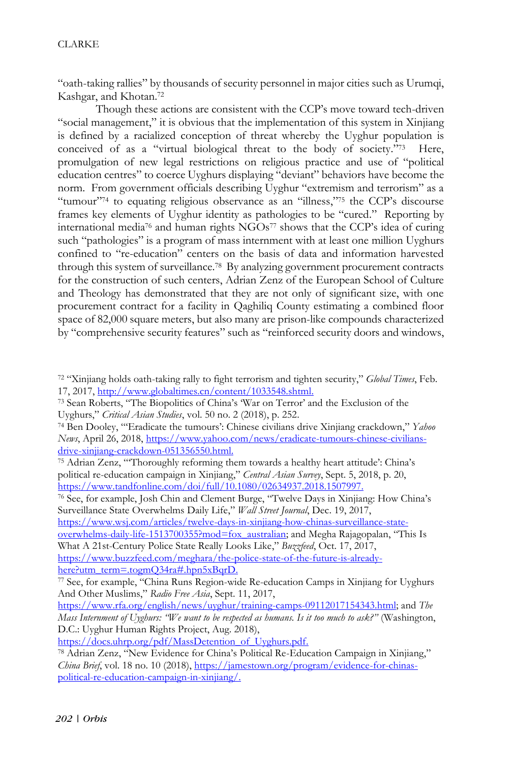"oath-taking rallies" by thousands of security personnel in major cities such as Urumqi, Kashgar, and Khotan.72

Though these actions are consistent with the CCP's move toward tech-driven "social management," it is obvious that the implementation of this system in Xinjiang is defined by a racialized conception of threat whereby the Uyghur population is conceived of as a "virtual biological threat to the body of society."73 Here, promulgation of new legal restrictions on religious practice and use of "political education centres" to coerce Uyghurs displaying "deviant" behaviors have become the norm. From government officials describing Uyghur "extremism and terrorism" as a "tumour"74 to equating religious observance as an "illness,"75 the CCP's discourse frames key elements of Uyghur identity as pathologies to be "cured." Reporting by international media76 and human rights NGOs77 shows that the CCP's idea of curing such "pathologies" is a program of mass internment with at least one million Uyghurs confined to "re-education" centers on the basis of data and information harvested through this system of surveillance.78 By analyzing government procurement contracts for the construction of such centers, Adrian Zenz of the European School of Culture and Theology has demonstrated that they are not only of significant size, with one procurement contract for a facility in Qaghiliq County estimating a combined floor space of 82,000 square meters, but also many are prison-like compounds characterized by "comprehensive security features" such as "reinforced security doors and windows,

- 17, 2017, http://www.globaltimes.cn/content/1033548.shtml.<br><sup>73</sup> Sean Roberts, "The Biopolitics of China's 'War on Terror' and the Exclusion of the
- Uyghurs," *Critical Asian Studies*, vol. 50 no. 2 (2018), p. 252. 74 Ben Dooley, "'Eradicate the tumours': Chinese civilians drive Xinjiang crackdown," *Yahoo News*, April 26, 2018, https://www.yahoo.com/news/eradicate-tumours-chinese-civiliansdrive-xinjiang-crackdown-051356550.html.
- 75 Adrian Zenz, "'Thoroughly reforming them towards a healthy heart attitude': China's political re-education campaign in Xinjiang," *Central Asian Survey*, Sept. 5, 2018, p. 20, https://www.tandfonline.com/doi/full/10.1080/02634937.2018.1507997.

76 See, for example, Josh Chin and Clement Burge, "Twelve Days in Xinjiang: How China's Surveillance State Overwhelms Daily Life," *Wall Street Journal*, Dec. 19, 2017,

https://www.wsj.com/articles/twelve-days-in-xinjiang-how-chinas-surveillance-stateoverwhelms-daily-life-1513700355?mod=fox\_australian; and Megha Rajagopalan, "This Is What A 21st-Century Police State Really Looks Like," *Buzzfeed*, Oct. 17, 2017, https://www.buzzfeed.com/meghara/the-police-state-of-the-future-is-alreadyhere?utm\_term=.togmQ34ra#.hpn5xBqrD.

https://docs.uhrp.org/pdf/MassDetention\_of\_Uyghurs.pdf.

<sup>72 &</sup>quot;Xinjiang holds oath-taking rally to fight terrorism and tighten security," *Global Times*, Feb.

<sup>77</sup> See, for example, "China Runs Region-wide Re-education Camps in Xinjiang for Uyghurs And Other Muslims," *Radio Free Asia*, Sept. 11, 2017,

https://www.rfa.org/english/news/uyghur/training-camps-09112017154343.html; and *The Mass Internment of Uyghurs: "We want to be respected as humans. Is it too much to ask?"* (Washington, D.C.: Uyghur Human Rights Project, Aug. 2018),

<sup>78</sup> Adrian Zenz, "New Evidence for China's Political Re-Education Campaign in Xinjiang," *China Brief*, vol. 18 no. 10 (2018), https://jamestown.org/program/evidence-for-chinaspolitical-re-education-campaign-in-xinjiang/.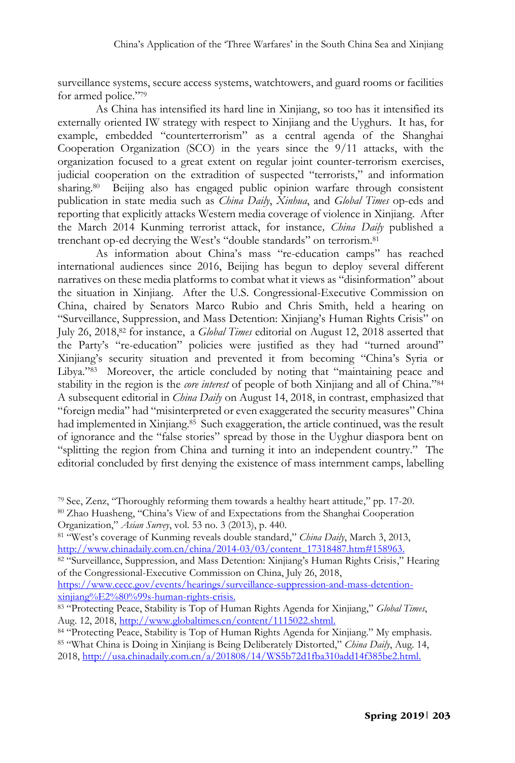surveillance systems, secure access systems, watchtowers, and guard rooms or facilities for armed police."79

As China has intensified its hard line in Xinjiang, so too has it intensified its externally oriented IW strategy with respect to Xinjiang and the Uyghurs. It has, for example, embedded "counterterrorism" as a central agenda of the Shanghai Cooperation Organization (SCO) in the years since the 9/11 attacks, with the organization focused to a great extent on regular joint counter-terrorism exercises, judicial cooperation on the extradition of suspected "terrorists," and information sharing.<sup>80</sup> Beijing also has engaged public opinion warfare through consistent publication in state media such as *China Daily*, *Xinhua*, and *Global Times* op-eds and reporting that explicitly attacks Western media coverage of violence in Xinjiang. After the March 2014 Kunming terrorist attack, for instance*, China Daily* published a trenchant op-ed decrying the West's "double standards" on terrorism.81

As information about China's mass "re-education camps" has reached international audiences since 2016, Beijing has begun to deploy several different narratives on these media platforms to combat what it views as "disinformation" about the situation in Xinjiang. After the U.S. Congressional-Executive Commission on China, chaired by Senators Marco Rubio and Chris Smith, held a hearing on "Surveillance, Suppression, and Mass Detention: Xinjiang's Human Rights Crisis" on July 26, 2018,82 for instance, a *Global Times* editorial on August 12, 2018 asserted that the Party's "re-education" policies were justified as they had "turned around" Xinjiang's security situation and prevented it from becoming "China's Syria or Libya."83 Moreover, the article concluded by noting that "maintaining peace and stability in the region is the *core interest* of people of both Xinjiang and all of China."84 A subsequent editorial in *China Daily* on August 14, 2018, in contrast, emphasized that "foreign media" had "misinterpreted or even exaggerated the security measures" China had implemented in Xinjiang.<sup>85</sup> Such exaggeration, the article continued, was the result of ignorance and the "false stories" spread by those in the Uyghur diaspora bent on "splitting the region from China and turning it into an independent country." The editorial concluded by first denying the existence of mass internment camps, labelling

http://www.chinadaily.com.cn/china/2014-03/03/content\_17318487.htm#158963.

82 "Surveillance, Suppression, and Mass Detention: Xinjiang's Human Rights Crisis," Hearing of the Congressional-Executive Commission on China, July 26, 2018,

https://www.cecc.gov/events/hearings/surveillance-suppression-and-mass-detentionxinjiang%E2%80%99s-human-rights-crisis. 83 "Protecting Peace, Stability is Top of Human Rights Agenda for Xinjiang," *Global Times*,

Aug. 12, 2018, <u>http://www.globaltimes.cn/content/1115022.shtml.</u><br><sup>84</sup> "Protecting Peace, Stability is Top of Human Rights Agenda for Xinjiang." My emphasis.<br><sup>85</sup> "What China is Doing in Xinjiang is Being Deliberately Dist 2018, http://usa.chinadaily.com.cn/a/201808/14/WS5b72d1fba310add14f385be2.html.

<sup>&</sup>lt;sup>79</sup> See, Zenz, "Thoroughly reforming them towards a healthy heart attitude," pp. 17-20. 80 Zhao Huasheng, "China's View of and Expectations from the Shanghai Cooperation Organization," *Asian Survey*, vol. 53 no. 3 (2013), p. 440. 81 "West's coverage of Kunming reveals double standard," *China Daily*, March 3, 2013,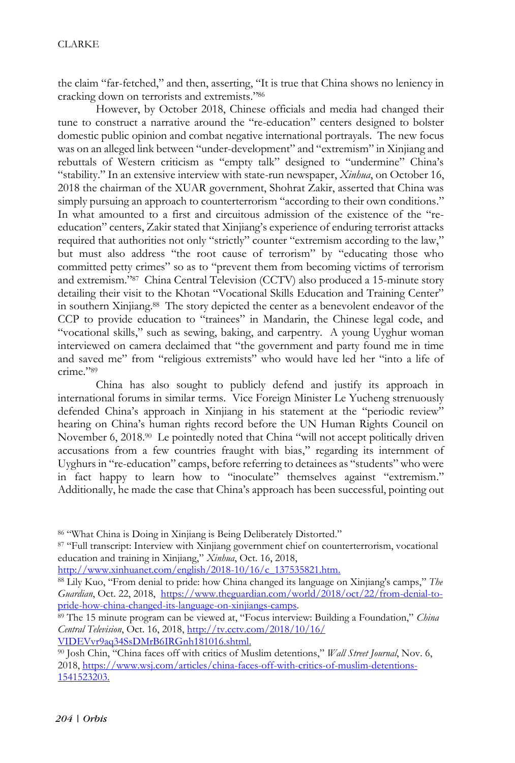the claim "far-fetched," and then, asserting, "It is true that China shows no leniency in cracking down on terrorists and extremists."86

However, by October 2018, Chinese officials and media had changed their tune to construct a narrative around the "re-education" centers designed to bolster domestic public opinion and combat negative international portrayals. The new focus was on an alleged link between "under-development" and "extremism" in Xinjiang and rebuttals of Western criticism as "empty talk" designed to "undermine" China's "stability." In an extensive interview with state-run newspaper, *Xinhua*, on October 16, 2018 the chairman of the XUAR government, Shohrat Zakir, asserted that China was simply pursuing an approach to counterterrorism "according to their own conditions." In what amounted to a first and circuitous admission of the existence of the "reeducation" centers, Zakir stated that Xinjiang's experience of enduring terrorist attacks required that authorities not only "strictly" counter "extremism according to the law," but must also address "the root cause of terrorism" by "educating those who committed petty crimes" so as to "prevent them from becoming victims of terrorism and extremism."87 China Central Television (CCTV) also produced a 15-minute story detailing their visit to the Khotan "Vocational Skills Education and Training Center" in southern Xinjiang.88 The story depicted the center as a benevolent endeavor of the CCP to provide education to "trainees" in Mandarin, the Chinese legal code, and "vocational skills," such as sewing, baking, and carpentry. A young Uyghur woman interviewed on camera declaimed that "the government and party found me in time and saved me" from "religious extremists" who would have led her "into a life of crime."89

China has also sought to publicly defend and justify its approach in international forums in similar terms. Vice Foreign Minister Le Yucheng strenuously defended China's approach in Xinjiang in his statement at the "periodic review" hearing on China's human rights record before the UN Human Rights Council on November 6, 2018.90 Le pointedly noted that China "will not accept politically driven accusations from a few countries fraught with bias," regarding its internment of Uyghurs in "re-education" camps, before referring to detainees as "students" who were in fact happy to learn how to "inoculate" themselves against "extremism." Additionally, he made the case that China's approach has been successful, pointing out

VIDEVvr9aq34SsDMrB6IRGnh181016.shtml. 90 Josh Chin, "China faces off with critics of Muslim detentions," *Wall Street Journal*, Nov. 6, 2018, https://www.wsj.com/articles/china-faces-off-with-critics-of-muslim-detentions-1541523203.

<sup>86 &</sup>quot;What China is Doing in Xinjiang is Being Deliberately Distorted." 87 "Full transcript: Interview with Xinjiang government chief on counterterrorism, vocational education and training in Xinjiang," *Xinhua*, Oct. 16, 2018,

http://www.xinhuanet.com/english/2018-10/16/c\_137535821.htm. 88 Lily Kuo, "From denial to pride: how China changed its language on Xinjiang's camps," *The Guardian*, Oct. 22, 2018, https://www.theguardian.com/world/2018/oct/22/from-denial-to-<br>pride-how-china-changed-its-language-on-xinjiangs-camps.

<sup>&</sup>lt;sup>89</sup> The 15 minute program can be viewed at, "Focus interview: Building a Foundation," *China Central Television*, Oct. 16, 2018, http://tv.cctv.com/2018/10/16/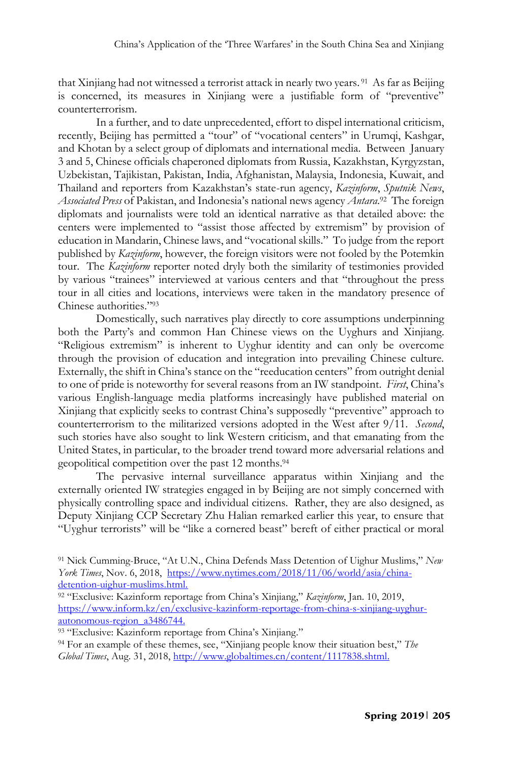that Xinjiang had not witnessed a terrorist attack in nearly two years. 91 As far as Beijing is concerned, its measures in Xinjiang were a justifiable form of "preventive" counterterrorism.

In a further, and to date unprecedented, effort to dispel international criticism, recently, Beijing has permitted a "tour" of "vocational centers" in Urumqi, Kashgar, and Khotan by a select group of diplomats and international media. Between January 3 and 5, Chinese officials chaperoned diplomats from Russia, Kazakhstan, Kyrgyzstan, Uzbekistan, Tajikistan, Pakistan, India, Afghanistan, Malaysia, Indonesia, Kuwait, and Thailand and reporters from Kazakhstan's state-run agency, *Kazinform*, *Sputnik News*, *Associated Press* of Pakistan, and Indonesia's national news agency *Antara*. 92 The foreign diplomats and journalists were told an identical narrative as that detailed above: the centers were implemented to "assist those affected by extremism" by provision of education in Mandarin, Chinese laws, and "vocational skills." To judge from the report published by *Kazinform*, however, the foreign visitors were not fooled by the Potemkin tour. The *Kazinform* reporter noted dryly both the similarity of testimonies provided by various "trainees" interviewed at various centers and that "throughout the press tour in all cities and locations, interviews were taken in the mandatory presence of Chinese authorities<sup>"93</sup>

Domestically, such narratives play directly to core assumptions underpinning both the Party's and common Han Chinese views on the Uyghurs and Xinjiang. "Religious extremism" is inherent to Uyghur identity and can only be overcome through the provision of education and integration into prevailing Chinese culture. Externally, the shift in China's stance on the "reeducation centers" from outright denial to one of pride is noteworthy for several reasons from an IW standpoint. *First*, China's various English-language media platforms increasingly have published material on Xinjiang that explicitly seeks to contrast China's supposedly "preventive" approach to counterterrorism to the militarized versions adopted in the West after 9/11. *Second*, such stories have also sought to link Western criticism, and that emanating from the United States, in particular, to the broader trend toward more adversarial relations and geopolitical competition over the past 12 months.94

The pervasive internal surveillance apparatus within Xinjiang and the externally oriented IW strategies engaged in by Beijing are not simply concerned with physically controlling space and individual citizens. Rather, they are also designed, as Deputy Xinjiang CCP Secretary Zhu Halian remarked earlier this year, to ensure that "Uyghur terrorists" will be "like a cornered beast" bereft of either practical or moral

91 Nick Cumming-Bruce, "At U.N., China Defends Mass Detention of Uighur Muslims," *New York Times*, Nov. 6, 2018, https://www.nytimes.com/2018/11/06/world/asia/china-

detention-uighur-muslims.html. 92 "Exclusive: Kazinform reportage from China's Xinjiang," *Kazinform*, Jan. 10, 2019, https://www.inform.kz/en/exclusive-kazinform-reportage-from-china-s-xinjiang-uyghurautonomous-region\_a3486744. 93 "Exclusive: Kazinform reportage from China's Xinjiang." 94 For an example of these themes, see, "Xinjiang people know their situation best," *The* 

*Global Times*, Aug. 31, 2018, http://www.globaltimes.cn/content/1117838.shtml.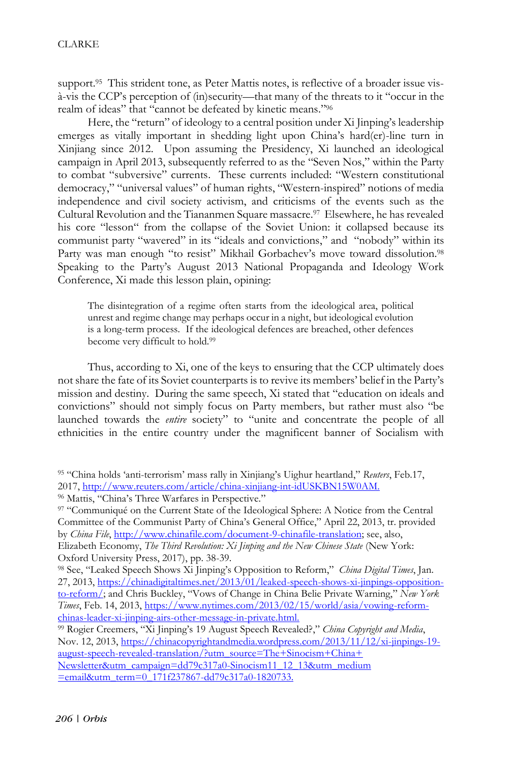support.<sup>95</sup> This strident tone, as Peter Mattis notes, is reflective of a broader issue visà-vis the CCP's perception of (in)security—that many of the threats to it "occur in the realm of ideas" that "cannot be defeated by kinetic means."96

Here, the "return" of ideology to a central position under Xi Jinping's leadership emerges as vitally important in shedding light upon China's hard(er)-line turn in Xinjiang since 2012. Upon assuming the Presidency, Xi launched an ideological campaign in April 2013, subsequently referred to as the "Seven Nos," within the Party to combat "subversive" currents. These currents included: "Western constitutional democracy," "universal values" of human rights, "Western-inspired" notions of media independence and civil society activism, and criticisms of the events such as the Cultural Revolution and the Tiananmen Square massacre.<sup>97</sup> Elsewhere, he has revealed his core "lesson" from the collapse of the Soviet Union: it collapsed because its communist party "wavered" in its "ideals and convictions," and "nobody" within its Party was man enough "to resist" Mikhail Gorbachev's move toward dissolution.<sup>98</sup> Speaking to the Party's August 2013 National Propaganda and Ideology Work Conference, Xi made this lesson plain, opining:

The disintegration of a regime often starts from the ideological area, political unrest and regime change may perhaps occur in a night, but ideological evolution is a long-term process. If the ideological defences are breached, other defences become very difficult to hold.<sup>99</sup>

Thus, according to Xi, one of the keys to ensuring that the CCP ultimately does not share the fate of its Soviet counterparts is to revive its members' belief in the Party's mission and destiny. During the same speech, Xi stated that "education on ideals and convictions" should not simply focus on Party members, but rather must also "be launched towards the *entire* society" to "unite and concentrate the people of all ethnicities in the entire country under the magnificent banner of Socialism with

<sup>95 &</sup>quot;China holds 'anti-terrorism' mass rally in Xinjiang's Uighur heartland," *Reuters*, Feb.17, 2017, http://www.reuters.com/article/china-xinjiang-int-idUSKBN15W0AM.<br><sup>96</sup> Mattis, "China's Three Warfares in Perspective."

<sup>97 &</sup>quot;Communiqué on the Current State of the Ideological Sphere: A Notice from the Central Committee of the Communist Party of China's General Office," April 22, 2013, tr. provided by *China File*, http://www.chinafile.com/document-9-chinafile-translation; see, also, Elizabeth Economy, *The Third Revolution: Xi Jinping and the New Chinese State* (New York: Oxford University Press, 2017), pp. 38-39.

<sup>98</sup> See, "Leaked Speech Shows Xi Jinping's Opposition to Reform," *China Digital Times*, Jan. 27, 2013, https://chinadigitaltimes.net/2013/01/leaked-speech-shows-xi-jinpings-oppositionto-reform/; and Chris Buckley, "Vows of Change in China Belie Private Warning," *New York Times*, Feb. 14, 2013, https://www.nytimes.com/2013/02/15/world/asia/vowing-reform-<br>chinas-leader-xi-jinping-airs-other-message-in-private.html.

<sup>&</sup>lt;sup>99</sup> Rogier Creemers, "Xi Jinping's 19 August Speech Revealed?," *China Copyright and Media*, Nov. 12, 2013, https://chinacopyrightandmedia.wordpress.com/2013/11/12/xi-jinpings-19 august-speech-revealed-translation/?utm\_source=The+Sinocism+China+ Newsletter&utm\_campaign=dd79c317a0-Sinocism11\_12\_13&utm\_medium =email&utm\_term=0\_171f237867-dd79c317a0-1820733.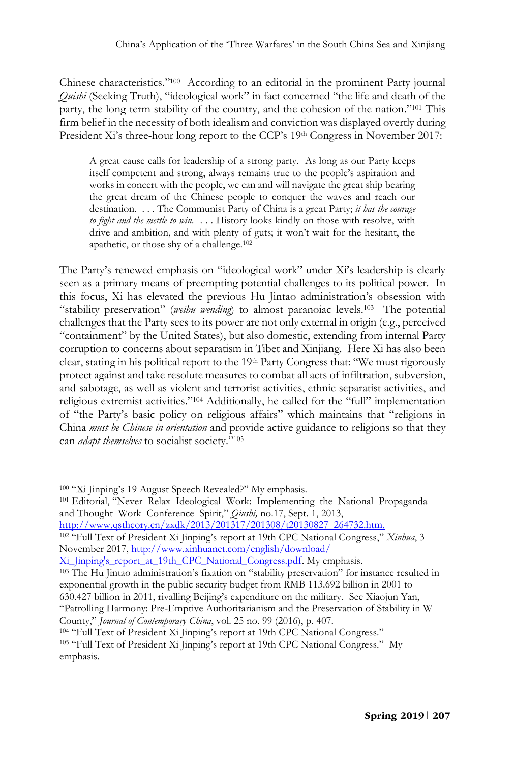Chinese characteristics."100 According to an editorial in the prominent Party journal *Quishi* (Seeking Truth), "ideological work" in fact concerned ''the life and death of the party, the long-term stability of the country, and the cohesion of the nation."101 This firm belief in the necessity of both idealism and conviction was displayed overtly during President Xi's three-hour long report to the CCP's 19th Congress in November 2017:

A great cause calls for leadership of a strong party. As long as our Party keeps itself competent and strong, always remains true to the people's aspiration and works in concert with the people, we can and will navigate the great ship bearing the great dream of the Chinese people to conquer the waves and reach our destination. . . . The Communist Party of China is a great Party; *it has the courage to fight and the mettle to win.* . . . History looks kindly on those with resolve, with drive and ambition, and with plenty of guts; it won't wait for the hesitant, the apathetic, or those shy of a challenge.102

The Party's renewed emphasis on "ideological work" under Xi's leadership is clearly seen as a primary means of preempting potential challenges to its political power. In this focus, Xi has elevated the previous Hu Jintao administration's obsession with "stability preservation" (*weihu wending*) to almost paranoiac levels.103 The potential challenges that the Party sees to its power are not only external in origin (e.g., perceived "containment" by the United States), but also domestic, extending from internal Party corruption to concerns about separatism in Tibet and Xinjiang. Here Xi has also been clear, stating in his political report to the 19th Party Congress that: "We must rigorously protect against and take resolute measures to combat all acts of infiltration, subversion, and sabotage, as well as violent and terrorist activities, ethnic separatist activities, and religious extremist activities."104 Additionally, he called for the "full" implementation of "the Party's basic policy on religious affairs" which maintains that "religions in China *must be Chinese in orientation* and provide active guidance to religions so that they can *adapt themselves* to socialist society."105

<sup>&</sup>lt;sup>100</sup> "Xi Jinping's 19 August Speech Revealed?" My emphasis.<br><sup>101</sup> Editorial, "Never Relax Ideological Work: Implementing the National Propaganda and Thought Work Conference Spirit," *Qiushi*, no.17, Sept. 1, 2013, http://www.qstheory.cn/zxdk/2013/201317/201308/t20130827\_264732.htm.

<sup>&</sup>lt;sup>102</sup> "Full Text of President Xi Jinping's report at 19th CPC National Congress," *Xinhua*, 3 November 2017, http://www.xinhuanet.com/english/download/

Xi\_Jinping's\_report\_at\_19th\_CPC\_National\_Congress.pdf. My emphasis. 103 The Hu Jintao administration's fixation on "stability preservation" for instance resulted in exponential growth in the public security budget from RMB 113.692 billion in 2001 to 630.427 billion in 2011, rivalling Beijing's expenditure on the military. See Xiaojun Yan, "Patrolling Harmony: Pre-Emptive Authoritarianism and the Preservation of Stability in W

County," Journal of Contemporary China, vol. 25 no. 99 (2016), p. 407.<br><sup>104</sup> "Full Text of President Xi Jinping's report at 19th CPC National Congress."<br><sup>105</sup> "Full Text of President Xi Jinping's report at 19th CPC Nationa emphasis.